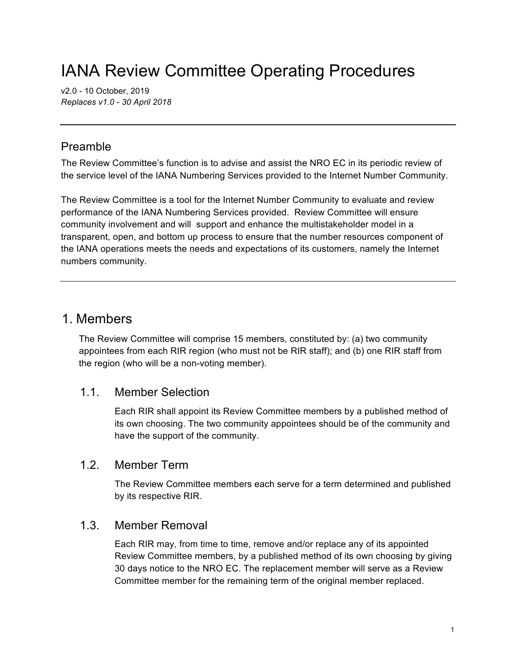# IANA Review Committee Operating Procedures

v2.0 - 10 October, 2019 *Replaces v1.0 - 30 April 2018*

# Preamble

The Review Committee's function is to advise and assist the NRO EC in its periodic review of the service level of the IANA Numbering Services provided to the Internet Number Community.

The Review Committee is a tool for the Internet Number Community to evaluate and review performance of the IANA Numbering Services provided. Review Committee will ensure community involvement and will support and enhance the multistakeholder model in a transparent, open, and bottom up process to ensure that the number resources component of the IANA operations meets the needs and expectations of its customers, namely the Internet numbers community.

# 1. Members

The Review Committee will comprise 15 members, constituted by: (a) two community appointees from each RIR region (who must not be RIR staff); and (b) one RIR staff from the region (who will be a non-voting member).

### 1.1. Member Selection

Each RIR shall appoint its Review Committee members by a published method of its own choosing. The two community appointees should be of the community and have the support of the community.

### 1.2. Member Term

The Review Committee members each serve for a term determined and published by its respective RIR.

### 1.3. Member Removal

Each RIR may, from time to time, remove and/or replace any of its appointed Review Committee members, by a published method of its own choosing by giving 30 days notice to the NRO EC. The replacement member will serve as a Review Committee member for the remaining term of the original member replaced.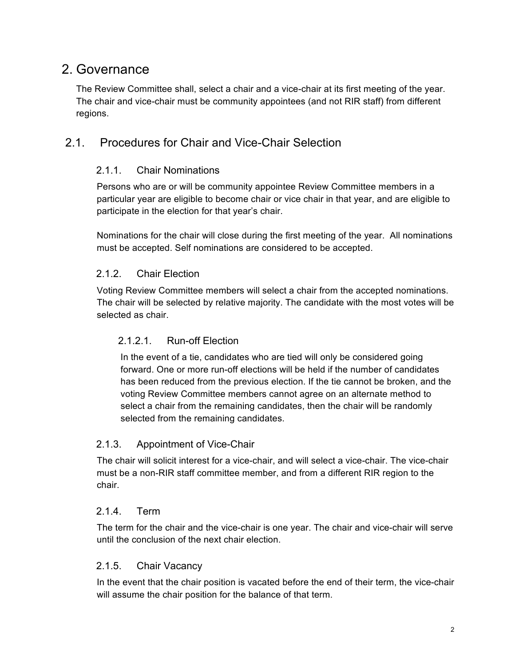# 2. Governance

The Review Committee shall, select a chair and a vice-chair at its first meeting of the year. The chair and vice-chair must be community appointees (and not RIR staff) from different regions.

### 2.1. Procedures for Chair and Vice-Chair Selection

### 2.1.1. Chair Nominations

Persons who are or will be community appointee Review Committee members in a particular year are eligible to become chair or vice chair in that year, and are eligible to participate in the election for that year's chair.

Nominations for the chair will close during the first meeting of the year. All nominations must be accepted. Self nominations are considered to be accepted.

### 2.1.2. Chair Election

Voting Review Committee members will select a chair from the accepted nominations. The chair will be selected by relative majority. The candidate with the most votes will be selected as chair.

### 2.1.2.1. Run-off Election

In the event of a tie, candidates who are tied will only be considered going forward. One or more run-off elections will be held if the number of candidates has been reduced from the previous election. If the tie cannot be broken, and the voting Review Committee members cannot agree on an alternate method to select a chair from the remaining candidates, then the chair will be randomly selected from the remaining candidates.

#### 2.1.3. Appointment of Vice-Chair

The chair will solicit interest for a vice-chair, and will select a vice-chair. The vice-chair must be a non-RIR staff committee member, and from a different RIR region to the chair.

#### 2.1.4. Term

The term for the chair and the vice-chair is one year. The chair and vice-chair will serve until the conclusion of the next chair election.

### 2.1.5. Chair Vacancy

In the event that the chair position is vacated before the end of their term, the vice-chair will assume the chair position for the balance of that term.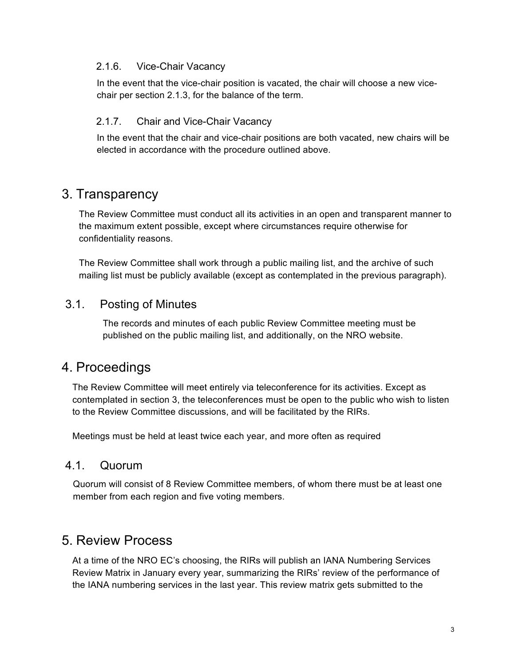#### 2.1.6. Vice-Chair Vacancy

In the event that the vice-chair position is vacated, the chair will choose a new vicechair per section 2.1.3, for the balance of the term.

#### 2.1.7. Chair and Vice-Chair Vacancy

In the event that the chair and vice-chair positions are both vacated, new chairs will be elected in accordance with the procedure outlined above.

# 3. Transparency

The Review Committee must conduct all its activities in an open and transparent manner to the maximum extent possible, except where circumstances require otherwise for confidentiality reasons.

The Review Committee shall work through a public mailing list, and the archive of such mailing list must be publicly available (except as contemplated in the previous paragraph).

### 3.1. Posting of Minutes

The records and minutes of each public Review Committee meeting must be published on the public mailing list, and additionally, on the NRO website.

# 4. Proceedings

The Review Committee will meet entirely via teleconference for its activities. Except as contemplated in section 3, the teleconferences must be open to the public who wish to listen to the Review Committee discussions, and will be facilitated by the RIRs.

Meetings must be held at least twice each year, and more often as required

### 4.1. Quorum

Quorum will consist of 8 Review Committee members, of whom there must be at least one member from each region and five voting members.

# 5. Review Process

At a time of the NRO EC's choosing, the RIRs will publish an IANA Numbering Services Review Matrix in January every year, summarizing the RIRs' review of the performance of the IANA numbering services in the last year. This review matrix gets submitted to the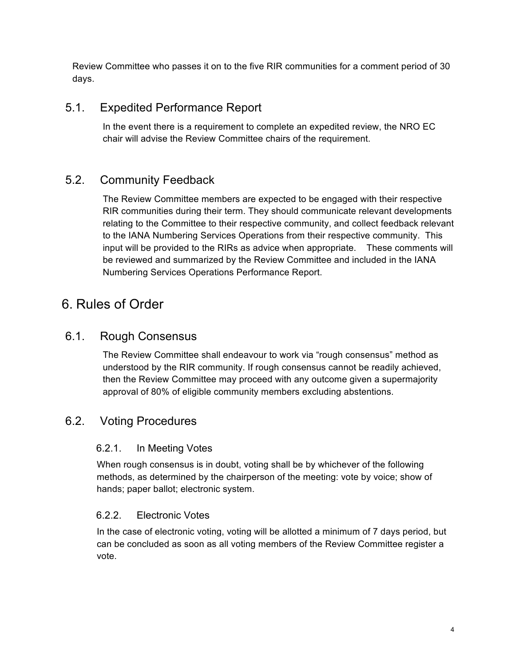Review Committee who passes it on to the five RIR communities for a comment period of 30 days.

# 5.1. Expedited Performance Report

In the event there is a requirement to complete an expedited review, the NRO EC chair will advise the Review Committee chairs of the requirement.

# 5.2. Community Feedback

The Review Committee members are expected to be engaged with their respective RIR communities during their term. They should communicate relevant developments relating to the Committee to their respective community, and collect feedback relevant to the IANA Numbering Services Operations from their respective community. This input will be provided to the RIRs as advice when appropriate. These comments will be reviewed and summarized by the Review Committee and included in the IANA Numbering Services Operations Performance Report.

# 6. Rules of Order

### 6.1. Rough Consensus

The Review Committee shall endeavour to work via "rough consensus" method as understood by the RIR community. If rough consensus cannot be readily achieved, then the Review Committee may proceed with any outcome given a supermajority approval of 80% of eligible community members excluding abstentions.

### 6.2. Voting Procedures

### 6.2.1. In Meeting Votes

When rough consensus is in doubt, voting shall be by whichever of the following methods, as determined by the chairperson of the meeting: vote by voice; show of hands; paper ballot; electronic system.

### 6.2.2. Electronic Votes

In the case of electronic voting, voting will be allotted a minimum of 7 days period, but can be concluded as soon as all voting members of the Review Committee register a vote.